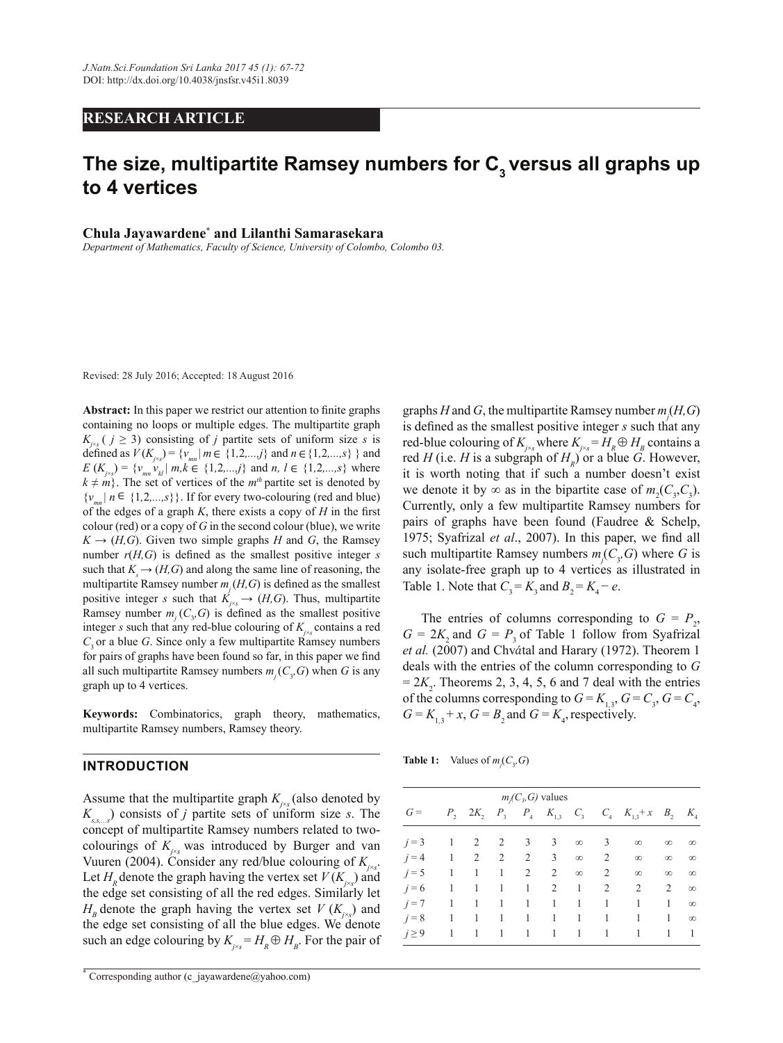### **RESEARCH ARTICLE**

# **The size, multipartite Ramsey numbers for C3 versus all graphs up to 4 vertices**

**Chula Jayawardene\* and Lilanthi Samarasekara**

*Department of Mathematics, Faculty of Science, University of Colombo, Colombo 03.*

Revised: 28 July 2016; Accepted: 18 August 2016

Abstract: In this paper we restrict our attention to finite graphs The multiparties of the multiple edges. The multipartite graph  $K_{j\infty}$  (  $j \geq 3$ ) consisting of *j* partities es of uniform size s is<br>  $\frac{K_{j\infty}}{2}$  of  $\frac{1}{2}$  of  $\frac{1}{2}$  and  $\frac{1}{2}$  and  $\frac{1}{2}$  and  $\frac{1}{2}$ defined as  $V(K_{j \times s}) = \{v_{mn} | m \in \{1, 2, ..., j\} \text{ and } n \in \{1, 2, ..., s\} \}$  and defined as  $V(K_{j\times s}) = \{v_{mn} | m \in \{1, 2, ..., j\} \text{ and } n \in \{1, 2, ..., s\} \}$  and  $E(K_{j\times s}) = \{v_{mn} v_{kl} | m, k \in \{1, 2, ..., j\} \text{ and } n, l \in \{1, 2, ..., s\} \text{ where }$  $E(K_{j \times s}) = \{v_{mn}v_{kl} | m, k \in \{1, 2, ..., j\} \text{ and } n, l \in \{1, 2, ..., s\} \text{ where } k \neq m\}$ . The set of vertices of the *m<sup>th</sup>* partite set is denoted by  $K \to (H, G)$ . Given two simple graphs *H* and *G*, the Ramsey number  $r(H,G)$  is defined as the smallest positive integer *s* Ramsey number  $m_j$  ( $C_3$ ,  $G$ ) is defined as the smallest positive  $T$ ] positive integer *s* such that  $K$ <sup>*j*</sup>×<sup>*s*</sup>  $\rightarrow$  *(H,G)*. Thus, multipartite integer *s* such that any red-blue colouring of  $K_{j \times s}$  contains a red  $G =$  $\ddot{\phantom{a}}$  $\ddot{\phantom{1}}$  $graph up to 4 vertices.$  $\int$   $\sqrt{3}$  $\{v_{mn} | n \in \{1, 2, \ldots, s\}\}\$ . If for every two-colouring (red and blue) such that  $K_s \to (H, G)$  and along the same line of reasoning, the  $C_3$  or a blue *G*. Since only a few multipartite Ramsey numbers { $v_{mn}$  |  $n \in \{1, 2, ..., s\}$ }. If for every two-colouring (red and blue) of the edges of a graph *K*, there exists a copy of *H* in the first colour (red) or a copy of  $G$  in the second colour (blue), we write multipartite Ramsey number  $m_j(H, G)$  is defined as the smallest for pairs of graphs have been found so far, in this paper we find all such multipartite Ramsey numbers  $m_j(C_3, G)$  when *G* is any

**Keywords:** Combinatorics, graph theory, mathematics, multipartite Ramsey numbers, Ramsey theory.

#### **INTRODUCTION**  $\blacksquare$ СТІОН $\blacksquare$

 $\overline{\phantom{a}}$ 

Assume that the multipartite graph  $K_{j \times s}$  (also denoted by colourings of  $K_{j\times s}$  was introduced by Burger and van<br>Vuuren (2004). Consider any red/blue colouring of  $K_{j\times s}$ .<br>Let  $H_s$  denote the graph having the vertex set  $V(K_s)$  and Let  $H_R$  denote the graph having the vertex set  $V(K_{j\times s})$  and such an edge colouring by  $K_{j \times s} = H_R \oplus H_s$ . For the pair of  $\frac{\text{Cyl}_\text{g}}{\text{Cyl}_\text{g}}$  and the edge set consisting of all the blue edges. We denote  $K_{s,s_0}$  consists of *j* partite sets of uniform size *s*. The the edge set consisting of all the red edges. Similarly let  $H$  denote the graph having the vertex set  $V(K_+)$  and concept of multipartite Ramsey numbers related to two- $H_B$  denote the graph having the vertex set *V* ( $K_{j \times s}$ ) and colourings of  $K_{i\lambda}$  was introduced by Burger and van

graphs *H* and *G*, the multipartite Ramsey number *m<sup>j</sup>* (*H,G*) is defined as the smallest positive integer *s* such that any red-blue colouring of  $K_{j \times s}$  where  $K_{j \times s} = H_R \oplus H_B$  contains a red *H* (i.e. *H* is a subgraph of  $H_R$ ) or a blue *G*. However, it is worth noting that if such a number doesn't exist we denote it by  $\infty$  as in the bipartite case of  $m_2^{\prime}(C_3, C_3)$ . Currently, only a few multipartite Ramsey numbers for pairs of graphs have been found (Faudree & Schelp, 1975; Syafrizal *et al.*, 2007). In this paper, we find all such multipartite Ramsey numbers  $m_j(C_3, G)$  where *G* is any isolate-free graph up to 4 vertices as illustrated in Table 1. Note that  $C_3 = K_3$  and  $B_2 = K_4 - e$ .

The entries of columns corresponding to  $G = P_2$ ,  $G = 2K$ , and  $G = P$ , of Table 1 follow from Syafrizal *et al.* (2007) and Chvátal and Harary (1972). Theorem 1 deals with the entries of the column corresponding to *G*   $= 2K_2$ . Theorems 2, 3, 4, 5, 6 and 7 deal with the entries of the columns corresponding to  $G = K_{1,3}$ ,  $G = C_3$ ,  $G = C_4$ ,  $G = K_{1,3} + x$ ,  $G = B_2$  and  $G = K_4$ , respectively.

| Table 1: |  | Values of $m_j(C_y, G)$ |  |
|----------|--|-------------------------|--|
|----------|--|-------------------------|--|

| $m_i(C_3, G)$ values |               |             |  |   |                                                     |          |                |                                                                          |                |                |
|----------------------|---------------|-------------|--|---|-----------------------------------------------------|----------|----------------|--------------------------------------------------------------------------|----------------|----------------|
| $G =$                |               |             |  |   |                                                     |          |                | $P_2$ 2 $K_2$ $P_3$ $P_4$ $K_{1,3}$ $C_3$ $C_4$ $K_{1,3}$ +x $B_2$ $K_4$ |                |                |
| $j=3$ 1              |               |             |  |   | 2 2 3 3                                             |          | $\infty$ 3     | $\infty$                                                                 | $\infty$       | $\infty$       |
| $j=4$                |               |             |  |   | $1 \quad 2 \quad 2 \quad 2 \quad 3$                 | $\infty$ | $\overline{2}$ | $\infty$                                                                 | $\infty$       | $\infty$       |
| $i = 5$              | $\frac{1}{2}$ | $1 \quad 1$ |  | 2 | $\overline{2}$                                      | $\infty$ | 2              | $\infty$                                                                 | $\infty$       | $\infty$       |
| $i = 6$              | - 1           |             |  |   | 1 1 1 2 1                                           |          | $\overline{2}$ | $\overline{2}$                                                           | 2              | $\infty$       |
| $j=7$                | -1            |             |  |   | $1 \quad 1 \quad 1 \quad 1 \quad 1$                 |          | $\mid 1 \mid$  | 1                                                                        | 1              | $\infty$       |
| $j = 8$ 1            |               |             |  |   | $1 \quad 1 \quad 1 \quad 1 \quad 1 \quad 1 \quad 1$ |          |                | $\overline{1}$                                                           | -1             | $\infty$       |
| $j \geq 9$           | 1             |             |  |   | $1 \quad 1 \quad 1 \quad 1 \quad 1 \quad 1$         |          |                | 1                                                                        | $\overline{1}$ | $\overline{1}$ |
|                      |               |             |  |   |                                                     |          |                |                                                                          |                |                |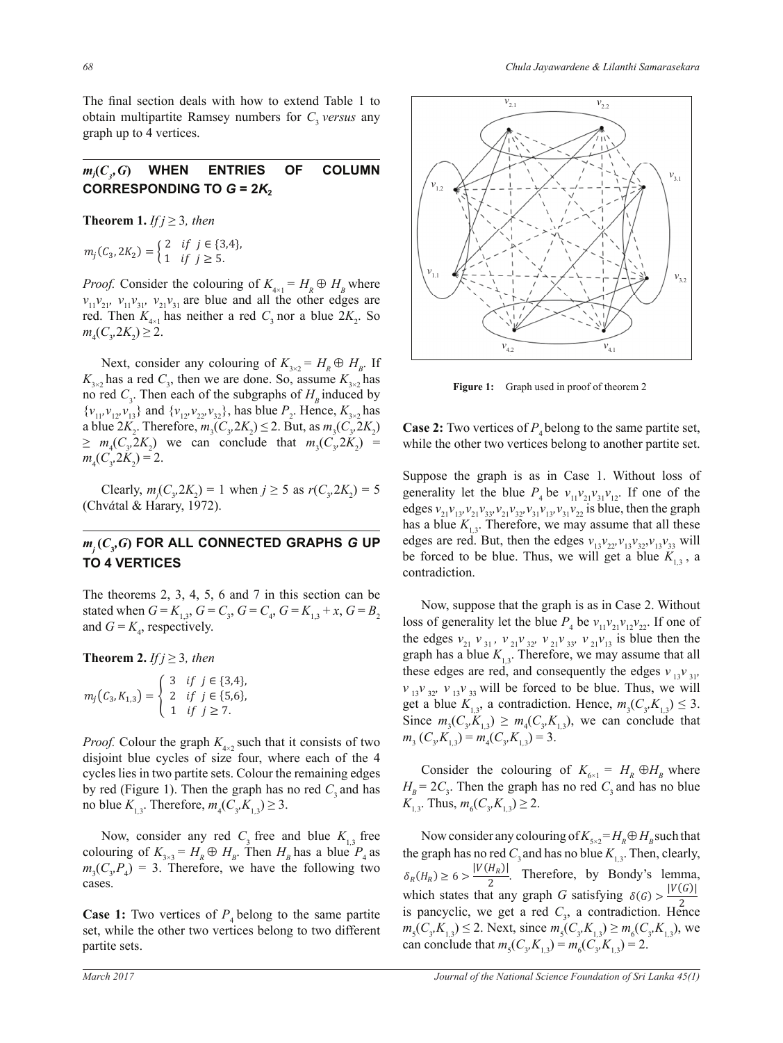The final section deals with how to extend Table 1 to obtain multipartite Ramsey numbers for  $C_3$  *versus* any graph up to 4 vertices.

#### $m_j(C_i, G)$ WHEN ENTRIES OF COLUMN **CORRESPONDING TO**  $G = 2K_2$

**Theorem 1.** *If*  $j \geq 3$ *, then* 

 $m_j(C_3, 2K_2) = \begin{cases} 2 & \text{if } j \in \{3,4\}, \\ 1 & \text{if } j \geq 5. \end{cases}$ 

red. Then  $K_{4\times1}$  has neither a red  $C_3$  nor a blue  $2K_2$ . So  $m(C, 2K) \ge 2$ . *Proof.* Consider the colouring of  $K_{4\times1} = H_R \oplus H_B$  where  $v_{11}v_{21}$ ,  $v_{11}v_{31}$ ,  $v_{21}v_{31}$  are blue and all the other edges are  $m_4(C_3, 2K_2) \geq 2.$ 

no red  $C_3$ . Then each of the subgraphs of  $H_B$  induced by  $\{v_{11}, v_{12}, v_{13}\}$  and  $\{v_{12}, v_{22}, v_{32}\}$ , has blue  $P_2$ . Hence,  $K_{3\times 2}$  has Next, consider any colouring of  $K_{3\times 2} = H_R \oplus H_B$ . If  $K_{3\times 2}$  has a red  $C_3$ , then we are done. So, assume  $K_{3\times 2}$  has a blue  $2K_2$ . Therefore,  $m_3(C_3, 2K_2) \le 2$ . But, as  $m_3(C_3, 2K_2)$  $\geq m_4(C_3, 2K_2)$  we can conclude that  $m_3(C_3, 2K_2) =$  $m_4(C_3, 2K_2) = 2.$ 

Clearly,  $m_j(C_3, 2K_2) = 1$  when  $j \ge 5$  as  $r(C_3, 2K_2) = 5$ *(Chvátal & Harary, 1972).* 

#### $T^2$  $m_j$ ( $C_y$ G) FOR ALL CONNECTED GRAPHS G UP **TO 4 VERTICES**

and  $G = K<sub>4</sub>$ , respectively. The theorems 2, 3, 4, 5, 6 and 7 in this section can be stated when  $G = K_{1,3}$ ,  $G = C_3$ ,  $G = C_4$ ,  $G = K_{1,3} + x$ ,  $G = B_2$ <br>and  $G = K_1$  respectively.

**Theorem 2.** *If*  $j \geq 3$ *, then* 

$$
m_j(C_3, K_{1,3}) = \begin{cases} 3 & \text{if } j \in \{3,4\}, \\ 2 & \text{if } j \in \{5,6\}, \\ 1 & \text{if } j \ge 7. \end{cases}
$$

*Proof.* Colour the graph  $K_{4\times2}$  such that it consists of two by red (Figure 1). Then the graph has no red  $C_3$  and has  $\overline{K}_{1,3}$ . Therefore,  $m_4(\overline{C}_3, \overline{K}_{1,3}) \geq 3$ .  $\alpha$  where each of the  $\alpha$  and  $\alpha$  and  $\alpha$  and  $\alpha$  are remaining edges disjoint blue cycles of size four, where each of the 4

 $\frac{1}{N}$  which  $\frac{1}{N}$  is  $\frac{1}{N}$   $\frac{1}{N}$  or  $\frac{1}{N}$   $\frac{1}{N}$   $\frac{1}{N}$   $\frac{1}{N}$   $\frac{1}{N}$   $\frac{1}{N}$   $\frac{1}{N}$   $\frac{1}{N}$   $\frac{1}{N}$   $\frac{1}{N}$   $\frac{1}{N}$   $\frac{1}{N}$   $\frac{1}{N}$   $\frac{1}{N}$   $\frac{1}{N}$   $\frac{1}{N}$   $\frac{1}{N}$ Now, consider any red  $C_3$  free and blue  $K_{1,3}$  free colouring of  $K_{3\times 3} = H_R \oplus H_B$ . Then  $H_B$  has a blue  $P_4$  as  $m_3(C_3, P_4) = 3$ . Therefore, we have the following two cases.

> $\frac{1}{4}$  contained  $\frac{1}{4}$  contained  $\frac{1}{4}$  contained the other two vertices **Case 1:** Two vertices of  $P_4$  belong to the same partite set while the other two vertices helong to two different set, while the other two vertices belong to two different partite sets.



**Figure 1:** Graph used in proof of theorem 2

**Case 2:** Two vertices of  $P_4$  belong to the same partite set, while the other two vertices belong to another partite set.

Suppose the graph is as in Case 1. Without loss of generality let the blue  $P_4$  be  $v_{11}v_{21}v_{31}v_{12}$ . If one of the edges  $v_{21}v_{13}v_{21}v_{33}v_{21}v_{32}v_{31}v_{13}v_{31}v_{22}$  is blue, then the graph has a blue  $K_{1,3}$ . Therefore, we may assume that all these edges are red. But, then the edges  $v_{13}v_{22}v_{13}v_{32}v_{13}v_{33}$  will be forced to be blue. Thus, we will get a blue  $K_{1,3}$ , a contradiction.

 Now, suppose that the graph is as in Case 2. Without loss of generality let the blue  $P_4$  be  $v_{11}v_{21}v_{12}v_{22}$ . If one of the edges  $v_{21}$   $v_{31}$ ,  $v_{21}v_{32}$ ,  $v_{21}v_{33}$ ,  $v_{21}v_{13}$  is blue then the graph has a blue  $K_{1,3}$ . Therefore, we may assume that all these edges are red, and consequently the edges  $v_{13}v_{31}$ ,  $v_{13}v_{32}$ ,  $v_{13}v_{33}$  will be forced to be blue. Thus, we will get a blue  $K_{1,3}$ , a contradiction. Hence,  $m_3(C_3, K_{1,3}) \leq 3$ . Since  $m_3(C_3, K_{1,3}) \geq m_4(C_3, K_{1,3})$ , we can conclude that  $m$ <sub>3</sub> (*C*<sub>3</sub>,*K*<sub>1,3</sub>) =  $m$ <sub>4</sub>(*C*<sub>3</sub>,*K*<sub>1,3</sub>) = 3.

Consider the colouring of  $K_{6\times1} = H_R \oplus H_B$  where  $H_B = 2C_3$ . Then the graph has no red  $C_3$  and has no blue  $K_{1,3}$ . Thus,  $m_6(C_3, K_{1,3}) \geq 2$ .

Now consider any colouring of  $K_{5\times 2} = H_R \oplus H_R$  such that the graph has no red  $C_3$  and has no blue  $K_{1,3}$ . Then, clearly,  $\delta_R(H_R) \ge 6 > \frac{|V(H_R)|}{2}$ . Therefore, by Bondy's lemma, which states that any graph *G* satisfying  $\delta(G) > \frac{|V(G)|}{2}$ can conclude that  $m_s(C_s, K_{1,3}) = m_s(C_s, K_{1,3}) = 2$ . is pancyclic, we get a red  $C_3$ , a contradiction. Hence  $m_5(C_3, K_{1,3}) \le 2$ . Next, since  $m_5(C_3, K_{1,3}) \ge m_6(C_3, K_{1,3})$ , we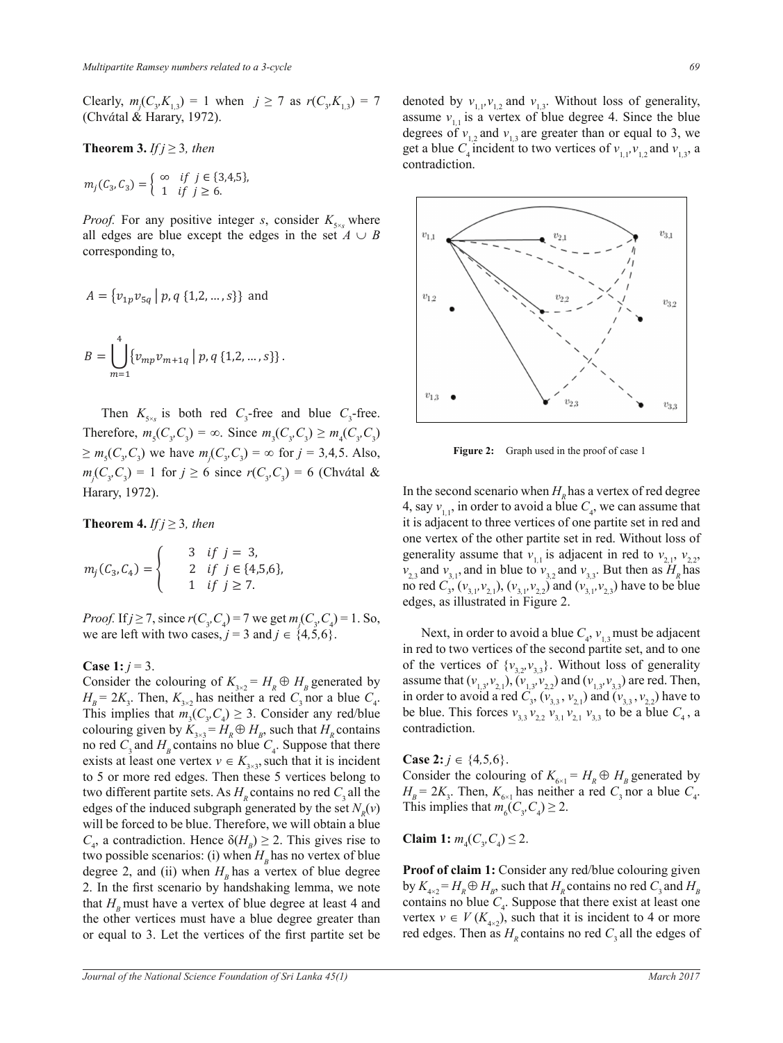Clearly,  $m_j(C_3, K_{1,3}) = 1$  when  $j \ge 7$  as  $r(C_3, K_{1,3}) = 7$ <br>(Chyótal & Harary 1972) <del>volari</del><sub>13</sub>, m<sub>j</sub>(e<sub>3</sub>, n<sub>13</sub>) <sup>1</sup> when (Chvátal & Harary, 1972).  $\frac{1}{2}$  $\mathbf{B}$ 

**Theorem 3.** *If*  $j \geq 3$ *, then* 

$$
m_j(C_3, C_3) = \begin{cases} \infty & \text{if } j \in \{3, 4, 5\}, \\ 1 & \text{if } j \ge 6. \end{cases}
$$

 $\mathbf{w}$ all edges are blue except the edges in the set  $A \cup B$ <br>corresponding to *Proof.* For any positive integer *s*, consider  $K_{s_{\text{ss}}}$  where an eages are order ο f For any m

$$
A = \{v_{1p}v_{5q} | p, q \{1,2,...,s\}\} \text{ and}
$$
  

$$
B = \bigcup_{m=1}^{4} \{v_{mp}v_{m+1q} | p, q \{1,2,...,s\}\}.
$$

Then  $K_{s_{\times s}}$  is both red  $C_{3}$ -free Therefore,  $m_5(C_3, C_3) = \infty$ . Since  $m_3(C_3, C_3) \ge m_4(C_3, C_3)$ <br>  $>m_4(C_3, C_3)$  we have  $m(C_3, C_3) = \infty$  for  $i = 3, 4, 5, 1$  km  $\mathcal{L}$ Harary, 1972). ͳ݂݆݅ Ǥ  $\sum m_j (C_3, C_3)$  we have  $m_j (C_3, C_3)$   $\infty$  for  $j = 3,4,5,7,15$ .  $\sum_{m} (C \cap \mathcal{C})$  we have  $\geq m_5(C_3, C_3)$  we have  $m_j(C_3, C_3) = \infty$  for  $j = 3, 4, 5$ . Also, Then  $K_{5\times s}$  is both red  $C_3$ -free and blue  $C_3$ -free.  $\frac{1}{\sqrt{2}}$   $\frac{1}{\sqrt{2}}$ 

**Theorem 4.** *If*  $j \geq 3$ , *then* 

$$
m_j(C_3, C_4) = \begin{cases} 3 & \text{if } j = 3, \\ 2 & \text{if } j \in \{4, 5, 6\}, \\ 1 & \text{if } j \ge 7. \end{cases}
$$

 $-3$  and  $f \in \{4, 3, 0\}$ . *Proof.* If  $j \ge 7$ , since  $r(C_3, C_4) = 7$  we get  $m_j(C_3, C_4) = 1$ . So,  $\omega$ *ovj.*  $\Omega_f - \gamma$ , sin we are left with two cases,  $j = 3$  and  $j \in \{4, 5, 6\}$ .

## Case 1:  $i = 3$ . **Case 1:**  $j = 3$ .

 $H_B = 2K_3$ . Then,  $K_{3\times 2}$  has neither a red  $C_3$  nor a blue  $C_4$ .<br>This implies that  $m(G, C) > 3$ . Consider any red/blue This implies that  $m_3(C_3, C_4) \geq 3$ . Consider any red/blue Consider the colouring of  $K_{3\times 2} = H_R \oplus H_B$  generated by to red  $C_3$  and  $H_B$  contains no blue  $C_4$ . Suppose that there<br>once  $C_3$  and  $H_B$  contains no blue  $C_4$ . Suppose that there exists at least one vertex  $v \in K_{3\times 3}$ , such that it is incident  $C_4$ , a contradiction. Hence  $\delta(H_B) \geq 2$ . This gives rise to will be forced to be blue. Therefore, we will obtain a blue<br> $C_{\alpha}$  a contradiction. Hence  $\delta(H) > 2$ . This gives rise to colouring given by  $K_{3\times 3} = H_R \oplus H_B$ , such that  $H_R$  contains to 5 or more red edges. Then these 5 vertices belong to two different partite sets. As  $H<sub>R</sub>$  contains no red  $C<sub>3</sub>$  all the edges of the induced subgraph generated by the set  $N_R(v)$ two possible scenarios: (i) when  $H_B$  has no vertex of blue degree 2, and (ii) when  $H<sub>B</sub>$  has a vertex of blue degree 2. In the first scenario by handshaking lemma, we note that  $H<sub>B</sub>$  must have a vertex of blue degree at least 4 and the other vertices must have a blue degree greater than or equal to 3. Let the vertices of the first partite set be

denoted by  $v_{1,1}$ ,  $v_{1,2}$  and  $v_{1,3}$ . Without loss of generality, assume  $v_{1,1}$  is a vertex of blue degree 4. Since the blue degrees of  $v_{1,2}$  and  $v_{1,3}$  are greater than or equal to 3, we get a blue  $C_4$  incident to two vertices of  $v_{1,1}, v_{1,2}$  and  $v_{1,3}$ , a contradiction.



**Figure 2:** Graph used in the proof of case 1

In the second scenario when  $H<sub>R</sub>$  has a vertex of red degree 4, say  $v_{1,1}$ , in order to avoid a blue  $C_4$ , we can assume that it is adjacent to three vertices of one partite set in red and one vertex of the other partite set in red. Without loss of generality assume that  $v_{1,1}$  is adjacent in red to  $v_{2,1}$ ,  $v_{2,2}$ ,  $v_{2,3}$  and  $v_{3,1}$ , and in blue to  $v_{3,2}$  and  $v_{3,3}$ . But then as  $H_R$  has no red  $C_3$ ,  $(v_{3,1}, v_{2,1})$ ,  $(v_{3,1}, v_{2,2})$  and  $(v_{3,1}, v_{2,3})$  have to be blue edges, as illustrated in Figure 2.

Next, in order to avoid a blue  $C_4$ ,  $v_{1,3}$  must be adjacent in red to two vertices of the second partite set, and to one of the vertices of  $\{v_{3,2}, v_{3,3}\}\$ . Without loss of generality assume that  $(v_{1,3}, v_{2,1}), (v_{1,3}, v_{2,2})$  and  $(v_{1,3}, v_{3,3})$  are red. Then, in order to avoid a red  $C_3$ ,  $(v_{3,3}, v_{2,1})$  and  $(v_{3,3}, v_{2,2})$  have to be blue. This forces  $v_{3,3}$   $v_{2,2}$   $v_{3,1}$   $v_{2,1}$   $v_{3,3}$  to be a blue  $C_4$ , a contradiction.

**Case 2:**  $j \in \{4,5,6\}$ .

Consider the colouring of  $K_{6\times 1} = H_R \oplus H_B$  generated by  $H_B = 2K_3$ . Then,  $K_{6\times 1}$  has neither a red  $C_3$  nor a blue  $C_4$ . This implies that  $m_6(C_3, C_4) \geq 2$ .

**Claim** 1:  $m_4(C_3, C_4) \leq 2$ .

**Proof of claim 1:** Consider any red/blue colouring given by  $K_{4\times2} = H_R \oplus H_B$ , such that  $H_R$  contains no red  $C_3$  and  $H_B$ contains no blue  $C_4$ . Suppose that there exist at least one vertex  $v \in V(K_{4\times2})$ , such that it is incident to 4 or more red edges. Then as  $H<sub>R</sub>$  contains no red  $C<sub>3</sub>$  all the edges of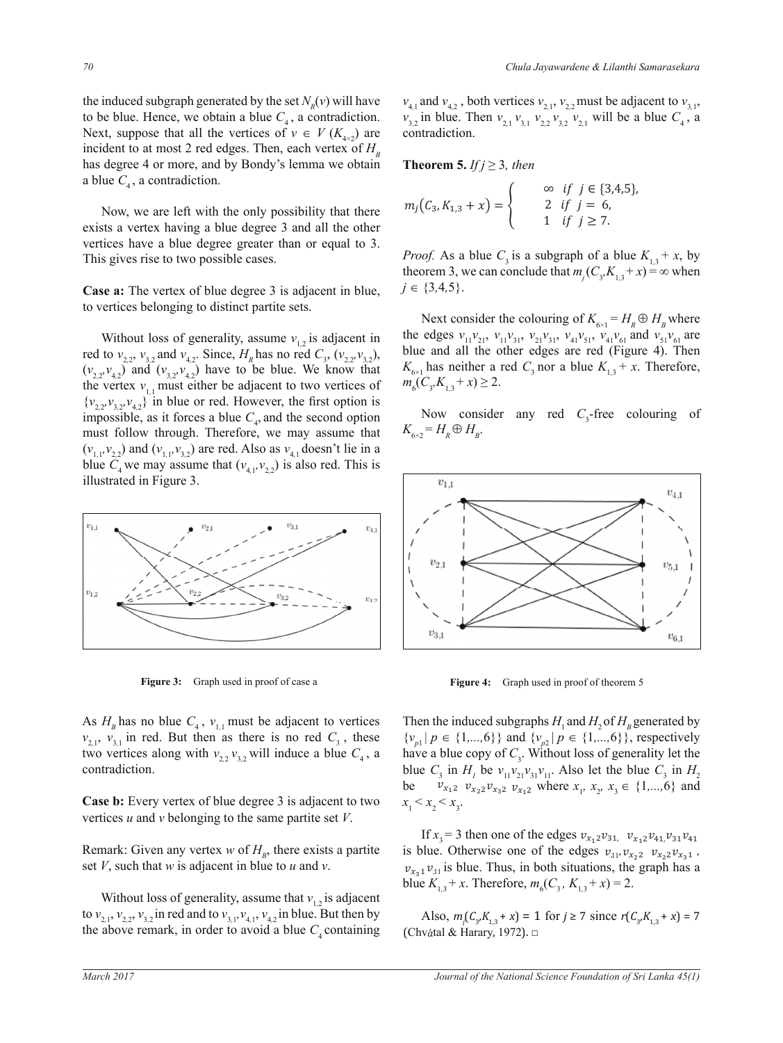the induced subgraph generated by the set  $N_R(v)$  will have to be blue. Hence, we obtain a blue  $C_4$ , a contradiction. Next, suppose that all the vertices of  $v \in V(K_{4\times2})$  are incident to at most 2 red edges. Then, each vertex of  $H<sub>B</sub>$ has degree 4 or more, and by Bondy's lemma we obtain a blue  $C_4$ , a contradiction.

 Now, we are left with the only possibility that there exists a vertex having a blue degree 3 and all the other vertices have a blue degree greater than or equal to 3. This gives rise to two possible cases.

**Case a:** The vertex of blue degree 3 is adjacent in blue, to vertices belonging to distinct partite sets.

Without loss of generality, assume  $v_{1,2}$  is adjacent in red to  $v_{2,2}$ ,  $v_{3,2}$  and  $v_{4,2}$ . Since,  $H_R$  has no red  $C_3$ ,  $(v_{2,2}, v_{3,2})$ ,  $(v_{2,2}, v_{4,2})$  and  $(v_{3,2}, v_{4,2})$  have to be blue. We know that the vertex  $v_{1,1}$  must either be adjacent to two vertices of  $\{v_{2,2}, v_{3,2}, v_{4,2}\}\$  in blue or red. However, the first option is impossible, as it forces a blue  $C_4$ , and the second option must follow through. Therefore, we may assume that  $(v_{1,1}, v_{2,2})$  and  $(v_{1,1}, v_{3,2})$  are red. Also as  $v_{4,1}$  doesn't lie in a blue  $C_4$  we may assume that  $(v_{4,1}, v_{2,2})$  is also red. This is illustrated in Figure 3.



Figure 3: Graph used in proof of case a

As  $H_B$  has no blue  $C_4$ ,  $v_{1,1}$  must be adjacent to vertices  $v_{2,1}$ ,  $v_{3,1}$  in red. But then as there is no red  $C_3$ , these two vertices along with  $v_{22}v_{32}$  will induce a blue  $C_4$ , a contradiction.

**Case b:** Every vertex of blue degree 3 is adjacent to two vertices *u* and *v* belonging to the same partite set *V*.

Remark: Given any vertex  $w$  of  $H<sub>B</sub>$ , there exists a partite set *V*, such that *w* is adjacent in blue to *u* and *v*.

Without loss of generality, assume that  $v_{1,2}$  is adjacent to  $v_{2,1}$ ,  $v_{2,2}$ ,  $v_{3,2}$  in red and to  $v_{3,1}$ ,  $v_{4,1}$ ,  $v_{4,2}$  in blue. But then by the above remark, in order to avoid a blue *C*<sub>4</sub> containing (Chvátal & Harary, 1972). □

 $v_{4,1}$  and  $v_{4,2}$ , both vertices  $v_{2,1}$ ,  $v_{2,2}$  must be adjacent to  $v_{3,1}$ ,  $v_{3,2}$  in blue. Then  $v_{2,1}$ ,  $v_{3,1}$ ,  $v_{3,2}$ ,  $v_{3,2}$ ,  $v_{3,1}$ , will be a blue  $C_4$ , a  $v_{3,2}$  in blue. Then  $v_{2,1}$   $v_{3,1}$   $v_{2,2}$   $v_{3,2}$   $v_{2,1}$  will be a blue  $C_4$ , a contradiction.

**Theorem 5.** *If*  $j \geq 3$ *, then* 

$$
m_j(C_3, K_{1,3} + x) = \begin{cases} \infty & \text{if } j \in \{3,4,5\}, \\ 2 & \text{if } j = 6, \\ 1 & \text{if } j \ge 7. \end{cases}
$$

݉  $\mathcal{L}$ theorem 3, we can conclude that  $m_j (C_3, K_{1,3} + x) = \infty$  when  $j \in \{3, 4, 5\}$ . *Proof.* As a blue  $C_3$  is a subgraph of a blue  $K_{1,3} + x$ , by  $j \in \{3,4,5\}.$ 

Next consider the colouring of  $K_{6\times 1} = H_R \oplus H_B$  where  $m_6(C_3, K_{1,3} + x) \geq 2$ .  $K_{6\times1}$  has neither a red  $C_3$  nor a blue  $K_{1,3}$  + *x*. Therefore,  $m(C_6K_{1,3} + x) \geq 2$ . the edges  $v_{11}v_{21}$ ,  $v_{11}v_{31}$ ,  $v_{21}v_{31}$ ,  $v_{41}v_{51}$ ,  $v_{41}v_{61}$  and  $v_{51}v_{61}$  are blue and all the other edges are red (Figure 4). Then

Now consider any red  $C_3$ -free colouring of  $K_{6\times 2} = H_R \oplus H_B.$ 



**Figure 4:** Graph used in proof of theorem 5

blue  $C_3$  in  $H_1$  be  $v_{11}v_{21}v_{31}v_{11}$ . Also let the blue  $C_3$  in  $H_2$ Then the induced subgraphs  $H_1$  and  $H_2$  of  $H_B$  generated by  $\left(\frac{1}{2} - \frac{1}{2}\right)$  and  $\left(\frac{1}{2} - \frac{1}{2}\right)$  and  $\left(\frac{1}{2} - \frac{1}{2}\right)$  are proportively  $\{v_{p1} | p \in \{1,...,6\}\}\$  and  $\{v_{p2} | p \in \{1,...,6\}\}\$ , respectively have a blue copy of  $C_3$ . Without loss of generality let the be  $v_{x_12}$   $v_{x_22}$  $v_{x_32}$   $v_{x_12}$  where  $x_1$ ,  $x_2$ ,  $x_3 \in \{1,...,6\}$  and  $\overline{a}$  $x_1 < x_2 < x_3$ . of  $H$ , generated b  $f_{\text{c}}(t)$  is respectivened to  $f_{\text{c}}(t)$ ୍ର ଷଵǡݒ௫భଶݒ  $\frac{a}{b}$ be  $\mathcal{L}(\mathcal{A})$ 

If  $x_3^3$  b then one of the edges  $v_{x_1}v_{x_1}v_{y_1}v_{x_2}v_{y_3}$  is blue. Otherwise one of the edges  $v_{11}$ ,  $v_{x_2}$ ,  $v_{x_2}v_{x_3}$ ,  $v_{x_3}$   $v_{11}$  is blue. Thus, in both situations, the graph has a  $\frac{1}{2}$ If  $x_3 = 3$  then one of the edges  $v_{x_12}v_{31}$ ,  $v_{x_12}v_{41}$ ,  $v_{31}v_{41}$  $\ddotsc$ ସଵݒଷଵݒସଵǡݒ௫భଶݒ ସଵݒଷଵݒସଵǡ௫భଶݒ <sup>௫</sup>మଶݒ blue  $K_{1,3} + x$ . Therefore,  $m_6(C_3, K_{1,3} + x) = 2$ .

*s*ϯ  $\frac{\kappa}{6}$ tal & Harary 1972) / since  $r(c_{3}K_{1,3} + i)$ Also,  $m_j(C_{3'}K_{1,3} + x) = 1$  for  $j \ge 7$  since  $r(C_{3'}K_{1,3} + x) = 7$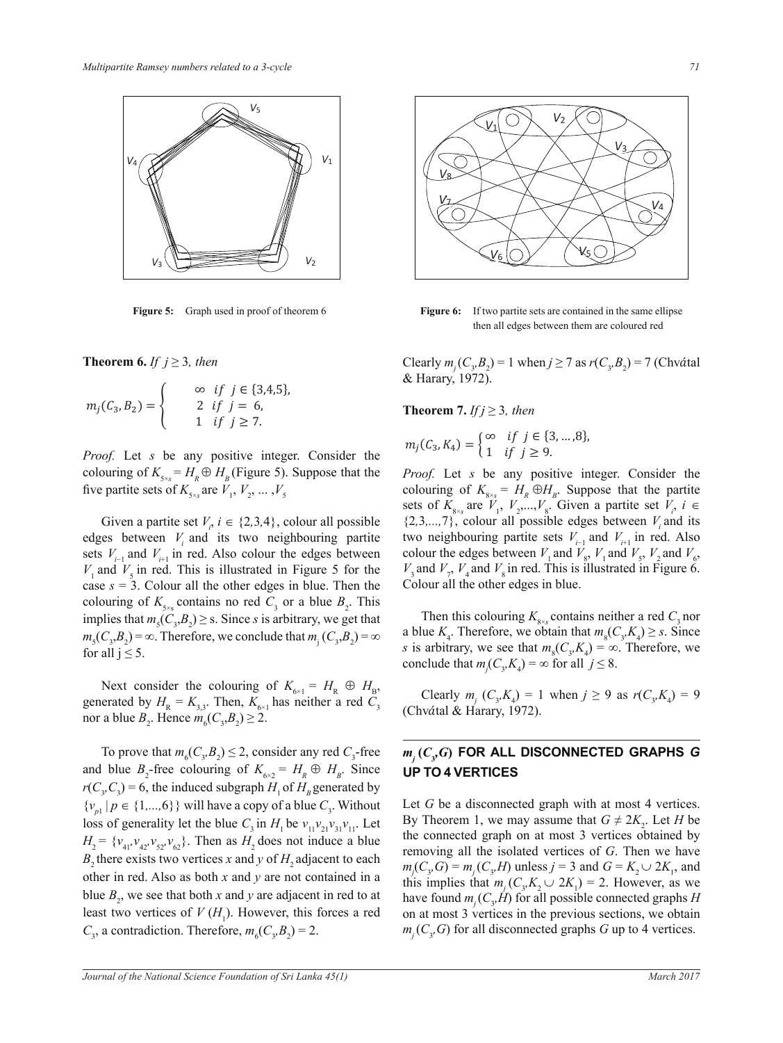

**Figure 5:** Graph used in proof of theorem 6

**Theorem 6.** *If*  $j \geq 3$ *, then* 

$$
m_j(C_3, B_2) = \begin{cases} \infty & \text{if } j \in \{3, 4, 5\}, \\ 2 & \text{if } j = 6, \\ 1 & \text{if } j \ge 7. \end{cases}
$$

five partite sets of  $K_{5\times s}$  are  $V_1, V_2, ..., V_5$ *Proof.* Let *s* be any positive integer. Consider the colouring of  $K_{5\times s} = H_R \oplus H_B$  (Figure 5). Suppose that the

Given a partite set  $V_i$ ,  $i \in \{2,3,4\}$ , colour all possible edges between  $V_i$  and its two neighbouring partite sets  $V_{i-1}$  and  $V_{i+1}$  in red. Also colour the edges between  $V_1$  and  $V_5$  in red. This is illustrated in Figure 5 for the case  $s = 3$ . Colour all the other edges in blue. Then the colouring of  $K_{5\times s}$  contains no red  $C_3$  or a blue  $B_2$ . This implies that  $m_s(C_3, B_2) \geq$  s. Since *s* is arbitrary, we get that  $m_s(C_3, B_2) = \infty$ . Therefore, we conclude that  $m_j(C_3, B_2) = \infty$ for all  $i \leq 5$ .

Next consider the colouring of  $K_{6\times1} = H_R \oplus H_B$ , generated by  $H_{\rm R} = K_{3,3}$ . Then,  $K_{6\times 1}$  has neither a red  $C_3$ nor a blue  $B_2$ . Hence  $m_6(C_3, B_2) \ge 2$ .

To prove that  $m_6(C_3, B_2) \le 2$ , consider any red  $C_3$ -free and blue  $B_2$ -free colouring of  $K_{6\times 2} = H_R \oplus H_B$ . Since  $r(C_3, C_3) = 6$ , the induced subgraph  $H_1$  of  $H_B$  generated by  $\{v_{p1} | p \in \{1,...,6\}\}\$  will have a copy of a blue  $C_3$ . Without loss of generality let the blue  $C_3$  in  $H_1$  be  $v_{11}v_{21}v_{31}v_{11}$ . Let  $H_2 = \{v_{41}, v_{42}, v_{52}, v_{62}\}.$  Then as  $H_2$  does not induce a blue *B*<sub>2</sub> there exists two vertices *x* and *y* of *H*<sub>2</sub> adjacent to each other in red. Also as both *x* and *y* are not contained in a blue  $B_2$ , we see that both *x* and *y* are adjacent in red to at least two vertices of  $V(H_1)$ . However, this forces a red  $C_3$ , a contradiction. Therefore,  $m_6(C_3, B_2) = 2$ .



**Figure 6:** If two partite sets are contained in the same ellipse then all edges between them are coloured red

Clearly  $m_j(C_y, B_z) = 1$  when  $j \ge 7$  as  $r(C_y, B_z) = 7$  (Chvátal & Harary, 1972).

**Theorem 7.** *If*  $j \geq 3$ *, then* 

$$
m_j(C_3, K_4) = \begin{cases} \infty & \text{if } j \in \{3, ..., 8\}, \\ 1 & \text{if } j \ge 9. \end{cases}
$$

*Proof.* Let *s* be any positive integer. Consider the colouring of  $K_{8\times s} = H_R \oplus H_B$ . Suppose that the partite sets of  $K_{8\times s}$  are  $V_1$ ,  $V_2$ ,..., $V_8$ . Given a partite set  $V_i$ ,  $i \in$  $\{2,3,\ldots,7\}$ , colour all possible edges between  $V_i$  and its two neighbouring partite sets  $V_{i-1}$  and  $V_{i+1}$  in red. Also colour the edges between  $V_1$  and  $V_8$ ,  $V_1$  and  $V_5$ ,  $V_2$  and  $V_6$ ,  $V_3$  and  $V_7$ ,  $V_4$  and  $V_8$  in red. This is illustrated in Figure 6. Colour all the other edges in blue.

Then this colouring  $K_{8\times s}$  contains neither a red  $C_3$  nor a blue  $K_4$ . Therefore, we obtain that  $m_8(C_3, K_4) \geq s$ . Since *s* is arbitrary, we see that  $m_s(C_s, K_4) = \infty$ . Therefore, we conclude that  $m_j(C_3, K_4) = \infty$  for all  $j \leq 8$ .

Clearly  $m_j$  ( $C_3$ , $K_4$ ) = 1 when  $j \ge 9$  as  $r(C_3, K_4) = 9$ *(Chvátal & Harary, 1972).* 

## $m_j^{\prime}(C_yG)$  for all disconnected graphs  $G$ **UP TO 4 VERTICES**

Let *G* be a disconnected graph with at most 4 vertices. By Theorem 1, we may assume that  $G \neq 2K_2$ . Let *H* be the connected graph on at most 3 vertices obtained by removing all the isolated vertices of *G*. Then we have  $m_j(C_3, G) = m_j(C_3, H)$  unless *j* = 3 and *G* =  $K_2 \cup 2K_1$ , and this implies that  $m_j$  ( $C_3$ , $K_2 \cup 2K_1$ ) = 2. However, as we have found  $m_j$  ( $C_3$ *H*) for all possible connected graphs *H* on at most 3 vertices in the previous sections, we obtain  $m_j(C_3, G)$  for all disconnected graphs *G* up to 4 vertices.